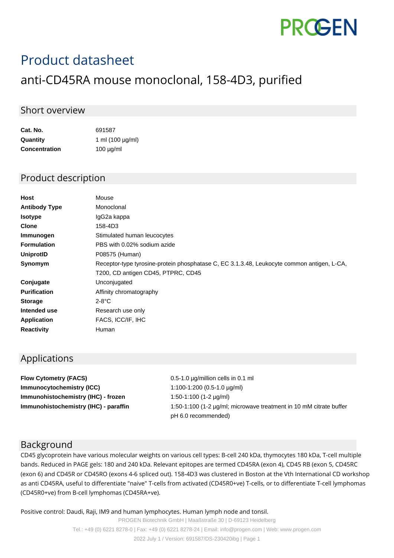# **PROGEN**

# Product datasheet

## anti-CD45RA mouse monoclonal, 158-4D3, purified

#### Short overview

| Cat. No.             | 691587                |
|----------------------|-----------------------|
| Quantity             | 1 ml $(100 \mu g/ml)$ |
| <b>Concentration</b> | $100 \mu g/ml$        |

#### Product description

| Mouse                                                                                      |
|--------------------------------------------------------------------------------------------|
| Monoclonal                                                                                 |
| IgG2a kappa                                                                                |
| 158-4D3                                                                                    |
| Stimulated human leucocytes                                                                |
| PBS with 0.02% sodium azide                                                                |
| P08575 (Human)                                                                             |
| Receptor-type tyrosine-protein phosphatase C, EC 3.1.3.48, Leukocyte common antigen, L-CA, |
| T200, CD antigen CD45, PTPRC, CD45                                                         |
| Unconjugated                                                                               |
| Affinity chromatography                                                                    |
| 2-8°C                                                                                      |
| Research use only                                                                          |
| FACS, ICC/IF, IHC                                                                          |
| Human                                                                                      |
|                                                                                            |

#### Applications

**Flow Cytometry (FACS)** 0.5-1.0 µg/million cells in 0.1 ml **Immunocytochemistry (ICC)** 1:100-1:200 (0.5-1.0 µg/ml) **Immunohistochemistry (IHC) - frozen** 1:50-1:100 (1-2 µg/ml)

**Immunohistochemistry (IHC) - paraffin** 1:50-1:100 (1-2 µg/ml; microwave treatment in 10 mM citrate buffer pH 6.0 recommended)

#### Background

CD45 glycoprotein have various molecular weights on various cell types: B-cell 240 kDa, thymocytes 180 kDa, T-cell multiple bands. Reduced in PAGE gels: 180 and 240 kDa. Relevant epitopes are termed CD45RA (exon 4), CD45 RB (exon 5, CD45RC (exon 6) and CD45R or CD45RO (exons 4-6 spliced out). 158-4D3 was clustered in Boston at the Vth International CD workshop as anti CD45RA, useful to differentiate "naive" T-cells from activated (CD45R0+ve) T-cells, or to differentiate T-cell lymphomas (CD45R0+ve) from B-cell lymphomas (CD45RA+ve).

Positive control: Daudi, Raji, IM9 and human lymphocytes. Human lymph node and tonsil.

PROGEN Biotechnik GmbH | Maaßstraße 30 | D-69123 Heidelberg Tel.: +49 (0) 6221 8278-0 | Fax: +49 (0) 6221 8278-24 | Email: info@progen.com | Web: www.progen.com 2022 July 1 / Version: 691587/DS-230420ibg | Page 1